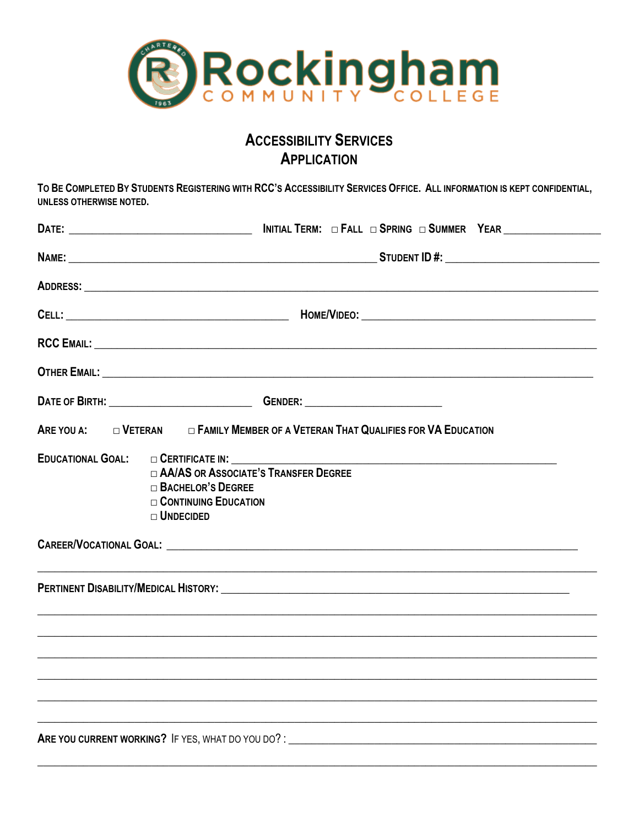

# **ACCESSIBILITY SERVICES APPLICATION**

TO BE COMPLETED BY STUDENTS REGISTERING WITH RCC'S ACCESSIBILITY SERVICES OFFICE. ALL INFORMATION IS KEPT CONFIDENTIAL, **UNLESS OTHERWISE NOTED.** 

| OTHER EMAIL: <b>Annual Experimental Contract Contract Contract Contract Contract Contract Contract Contract Contract Contract Contract Contract Contract Contract Contract Contract Contract Contract Contract Contract Contract</b>                                                                                                                    |  |  |
|---------------------------------------------------------------------------------------------------------------------------------------------------------------------------------------------------------------------------------------------------------------------------------------------------------------------------------------------------------|--|--|
|                                                                                                                                                                                                                                                                                                                                                         |  |  |
| ARE YOU A: U VETERAN U FAMILY MEMBER OF A VETERAN THAT QUALIFIES FOR VA EDUCATION                                                                                                                                                                                                                                                                       |  |  |
| EDUCATIONAL GOAL: C CERTIFICATE IN: CONTRACTED AND ACCORDING THE CONTRACTED ASSESSMENT OF THE CONTRACTED AND THE CONTRACTED ASSESSMENT OF THE CONTRACTED AND ACCORDING THE CONTRACTED AND ACCORDING THE CONTRACTED AND ACCORDI<br>□ AA/AS OR ASSOCIATE'S TRANSFER DEGREE<br>$\Box$ Bachelor's Degree<br>$\Box$ CONTINUING EDUCATION<br>$\Box$ UNDECIDED |  |  |
| ,我们也不能在这里的时候,我们也不能在这里的时候,我们也不能在这里的时候,我们也不能会不能会不能会不能会不能会不能会不能会。<br>第2012章 我们的时候,我们的时候,我们的时候,我们的时候,我们的时候,我们的时候,我们的时候,我们的时候,我们的时候,我们的时候,我们的时候,我们的时候,我                                                                                                                                                                                                      |  |  |
| <u> 1990 - Jan James James James James James James James James James James James James James James James James J</u>                                                                                                                                                                                                                                    |  |  |
| ,他们的人们也不能在这里,他们的人们也不能在这里,他们的人们也不能在这里,他们的人们也不能在这里,他们的人们也不能在这里,他们的人们也不能在这里的人们的人们,他们<br><u>,</u> 这个人的人们就是一个人的人,我们就是一个人的人,我们就是一个人的人,我们就是一个人的人,我们就是一个人的人,我们就是一个人的人,我们就是一个人的人,我们就是                                                                                                                                                                            |  |  |
|                                                                                                                                                                                                                                                                                                                                                         |  |  |
| <u> 1999 - 1999 - 1999 - 1999 - 1999 - 1999 - 1999 - 1999 - 1999 - 1999 - 1999 - 1999 - 1999 - 1999 - 1999 - 199</u>                                                                                                                                                                                                                                    |  |  |
|                                                                                                                                                                                                                                                                                                                                                         |  |  |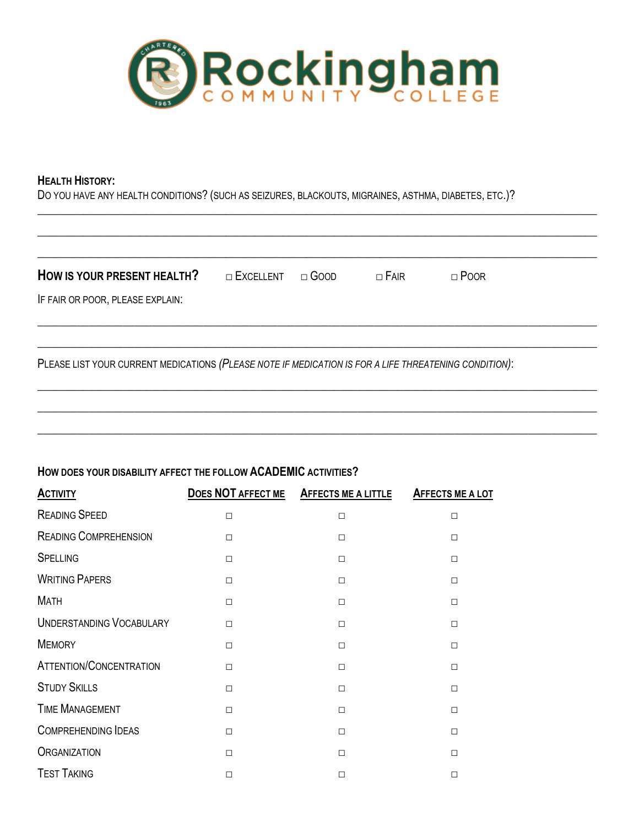

#### **HEALTH HISTORY:**

DO YOU HAVE ANY HEALTH CONDITIONS? (SUCH AS SEIZURES, BLACKOUTS, MIGRAINES, ASTHMA, DIABETES, ETC.)?

| IF FAIR OR POOR, PLEASE EXPLAIN: |
|----------------------------------|
|                                  |
|                                  |

\_\_\_\_\_\_\_\_\_\_\_\_\_\_\_\_\_\_\_\_\_\_\_\_\_\_\_\_\_\_\_\_\_\_\_\_\_\_\_\_\_\_\_\_\_\_\_\_\_\_\_\_\_\_\_\_\_\_\_\_\_\_\_\_\_\_\_\_\_\_\_\_\_\_\_\_\_\_\_\_\_\_\_\_\_\_\_\_\_\_\_\_\_\_\_\_\_\_

**\_\_\_\_\_\_\_\_\_\_\_\_\_\_\_\_\_\_\_\_\_\_\_\_\_\_\_\_\_\_\_\_\_\_\_\_\_\_\_\_\_\_\_\_\_\_\_\_\_\_\_\_\_\_\_\_\_\_\_\_\_\_\_\_\_\_\_\_\_\_\_\_\_\_\_\_\_\_\_\_\_\_\_\_\_\_\_\_\_\_\_\_\_\_\_\_\_\_**

**\_\_\_\_\_\_\_\_\_\_\_\_\_\_\_\_\_\_\_\_\_\_\_\_\_\_\_\_\_\_\_\_\_\_\_\_\_\_\_\_\_\_\_\_\_\_\_\_\_\_\_\_\_\_\_\_\_\_\_\_\_\_\_\_\_\_\_\_\_\_\_\_\_\_\_\_\_\_\_\_\_\_\_\_\_\_\_\_\_\_\_\_\_\_\_\_\_\_**

## **HOW DOES YOUR DISABILITY AFFECT THE FOLLOW ACADEMIC ACTIVITIES?**

| <b>ACTIVITY</b>                 | DOES NOT AFFECT ME | AFFECTS ME A LITTLE | AFFECTS ME A LOT |
|---------------------------------|--------------------|---------------------|------------------|
| <b>READING SPEED</b>            | $\Box$             | $\Box$              | $\Box$           |
| <b>READING COMPREHENSION</b>    | $\Box$             | П                   | $\Box$           |
| <b>SPELLING</b>                 | $\Box$             | $\Box$              | $\Box$           |
| <b>WRITING PAPERS</b>           | $\Box$             | $\Box$              | $\Box$           |
| <b>MATH</b>                     | $\Box$             | П                   | $\Box$           |
| <b>UNDERSTANDING VOCABULARY</b> | $\Box$             | П                   | $\Box$           |
| <b>MEMORY</b>                   | $\Box$             | П                   | $\Box$           |
| <b>ATTENTION/CONCENTRATION</b>  | $\Box$             | П                   | $\Box$           |
| <b>STUDY SKILLS</b>             | $\Box$             | П                   | $\Box$           |
| <b>TIME MANAGEMENT</b>          | $\Box$             | $\Box$              | $\Box$           |
| <b>COMPREHENDING IDEAS</b>      | $\Box$             | $\Box$              | $\Box$           |
| <b>ORGANIZATION</b>             | $\Box$             | $\Box$              | $\Box$           |
| <b>TEST TAKING</b>              | $\Box$             | П                   | $\Box$           |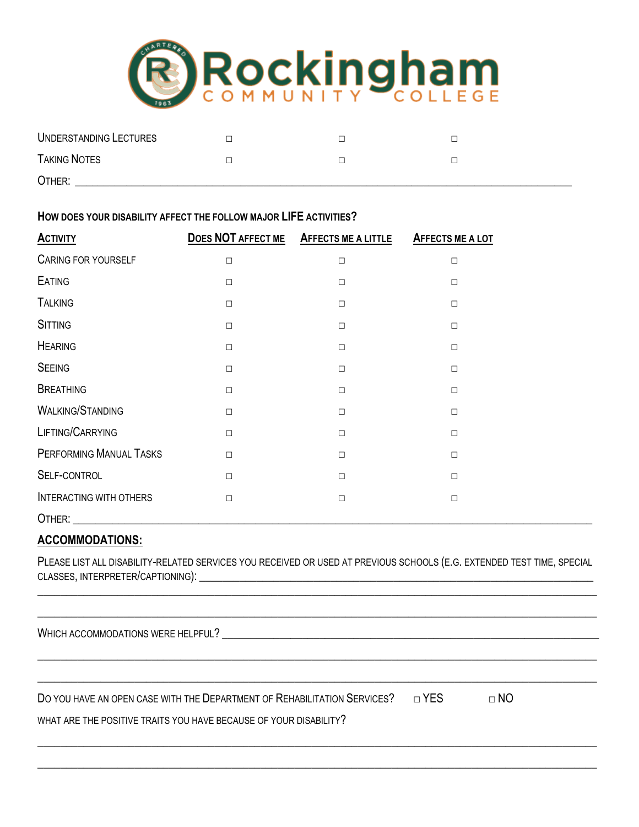

| UNDERSTANDING LECTURES |  |  |
|------------------------|--|--|
| <b>TAKING NOTES</b>    |  |  |
| OTHER:                 |  |  |

#### **HOW DOES YOUR DISABILITY AFFECT THE FOLLOW MAJOR LIFE ACTIVITIES?**

| <b>ACTIVITY</b>                |        | DOES NOT AFFECT ME AFFECTS ME A LITTLE | AFFECTS ME A LOT |
|--------------------------------|--------|----------------------------------------|------------------|
| <b>CARING FOR YOURSELF</b>     | □      | $\Box$                                 | $\Box$           |
| <b>EATING</b>                  | $\Box$ | $\Box$                                 | $\Box$           |
| <b>TALKING</b>                 | $\Box$ | $\Box$                                 | $\Box$           |
| <b>SITTING</b>                 | □      | $\Box$                                 | $\Box$           |
| <b>HEARING</b>                 | $\Box$ | $\Box$                                 | $\Box$           |
| <b>SEEING</b>                  | $\Box$ | $\Box$                                 | $\Box$           |
| <b>BREATHING</b>               | $\Box$ | $\Box$                                 | $\Box$           |
| <b>WALKING/STANDING</b>        | $\Box$ | $\Box$                                 | $\Box$           |
| LIFTING/CARRYING               | $\Box$ | $\Box$                                 | $\Box$           |
| PERFORMING MANUAL TASKS        | $\Box$ | П                                      | $\Box$           |
| SELF-CONTROL                   | $\Box$ | $\Box$                                 | $\Box$           |
| <b>INTERACTING WITH OTHERS</b> | $\Box$ | $\Box$                                 | $\Box$           |
| OTHER:                         |        |                                        |                  |

## **ACCOMMODATIONS:**

PLEASE LIST ALL DISABILITY-RELATED SERVICES YOU RECEIVED OR USED AT PREVIOUS SCHOOLS (E.G. EXTENDED TEST TIME, SPECIAL CLASSES, INTERPRETER/CAPTIONING):  $\blacksquare$ 

 $\overline{\phantom{a}}$  , and the contract of the contract of the contract of the contract of the contract of the contract of the contract of the contract of the contract of the contract of the contract of the contract of the contrac

\_\_\_\_\_\_\_\_\_\_\_\_\_\_\_\_\_\_\_\_\_\_\_\_\_\_\_\_\_\_\_\_\_\_\_\_\_\_\_\_\_\_\_\_\_\_\_\_\_\_\_\_\_\_\_\_\_\_\_\_\_\_\_\_\_\_\_\_\_\_\_\_\_\_\_\_\_\_\_\_\_\_\_\_\_\_\_\_\_\_\_\_\_\_\_\_\_\_

 $\overline{\phantom{a}}$  , and the contribution of the contribution of the contribution of the contribution of the contribution of the contribution of the contribution of the contribution of the contribution of the contribution of the

 $\overline{\phantom{a}}$  , and the contribution of the contribution of the contribution of the contribution of the contribution of the contribution of the contribution of the contribution of the contribution of the contribution of the

 $\_$  ,  $\_$  ,  $\_$  ,  $\_$  ,  $\_$  ,  $\_$  ,  $\_$  ,  $\_$  ,  $\_$  ,  $\_$  ,  $\_$  ,  $\_$  ,  $\_$  ,  $\_$  ,  $\_$  ,  $\_$  ,  $\_$  ,  $\_$  ,  $\_$  ,  $\_$  ,  $\_$  ,  $\_$  ,  $\_$  ,  $\_$  ,  $\_$  ,  $\_$  ,  $\_$  ,  $\_$  ,  $\_$  ,  $\_$  ,  $\_$  ,  $\_$  ,  $\_$  ,  $\_$  ,  $\_$  ,  $\_$  ,  $\_$  ,

WHICH ACCOMMODATIONS WERE HELPFUL?

DO YOU HAVE AN OPEN CASE WITH THE DEPARTMENT OF REHABILITATION SERVICES?  $\Box$  YES  $\Box$  NO

WHAT ARE THE POSITIVE TRAITS YOU HAVE BECAUSE OF YOUR DISABILITY?

 $\_$  ,  $\_$  ,  $\_$  ,  $\_$  ,  $\_$  ,  $\_$  ,  $\_$  ,  $\_$  ,  $\_$  ,  $\_$  ,  $\_$  ,  $\_$  ,  $\_$  ,  $\_$  ,  $\_$  ,  $\_$  ,  $\_$  ,  $\_$  ,  $\_$  ,  $\_$  ,  $\_$  ,  $\_$  ,  $\_$  ,  $\_$  ,  $\_$  ,  $\_$  ,  $\_$  ,  $\_$  ,  $\_$  ,  $\_$  ,  $\_$  ,  $\_$  ,  $\_$  ,  $\_$  ,  $\_$  ,  $\_$  ,  $\_$  ,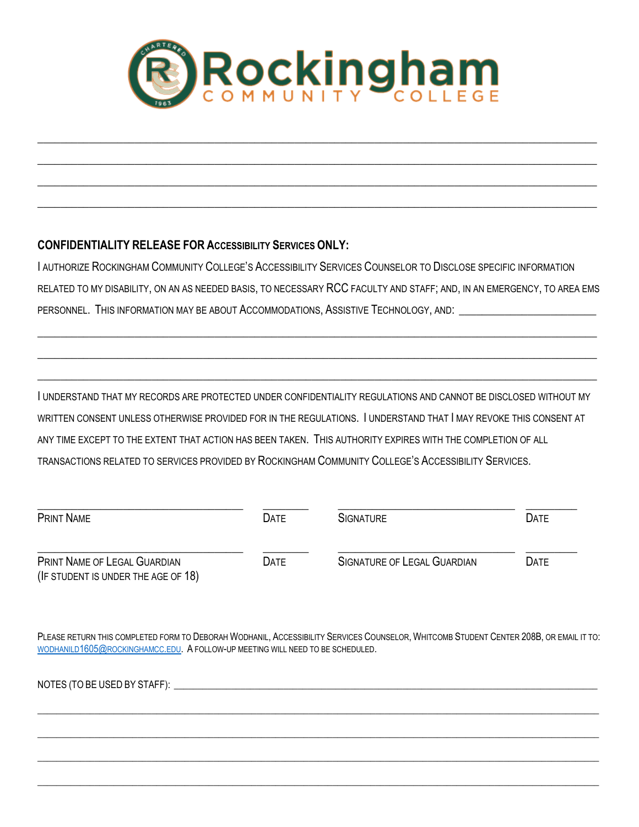

 $\overline{\phantom{a}}$  , and the contribution of the contribution of the contribution of the contribution of the contribution of the contribution of the contribution of the contribution of the contribution of the contribution of the

 $\_$  ,  $\_$  ,  $\_$  ,  $\_$  ,  $\_$  ,  $\_$  ,  $\_$  ,  $\_$  ,  $\_$  ,  $\_$  ,  $\_$  ,  $\_$  ,  $\_$  ,  $\_$  ,  $\_$  ,  $\_$  ,  $\_$  ,  $\_$  ,  $\_$  ,  $\_$  ,  $\_$  ,  $\_$  ,  $\_$  ,  $\_$  ,  $\_$  ,  $\_$  ,  $\_$  ,  $\_$  ,  $\_$  ,  $\_$  ,  $\_$  ,  $\_$  ,  $\_$  ,  $\_$  ,  $\_$  ,  $\_$  ,  $\_$  ,

 $\_$  ,  $\_$  ,  $\_$  ,  $\_$  ,  $\_$  ,  $\_$  ,  $\_$  ,  $\_$  ,  $\_$  ,  $\_$  ,  $\_$  ,  $\_$  ,  $\_$  ,  $\_$  ,  $\_$  ,  $\_$  ,  $\_$  ,  $\_$  ,  $\_$  ,  $\_$  ,  $\_$  ,  $\_$  ,  $\_$  ,  $\_$  ,  $\_$  ,  $\_$  ,  $\_$  ,  $\_$  ,  $\_$  ,  $\_$  ,  $\_$  ,  $\_$  ,  $\_$  ,  $\_$  ,  $\_$  ,  $\_$  ,  $\_$  ,

 $\_$  ,  $\_$  ,  $\_$  ,  $\_$  ,  $\_$  ,  $\_$  ,  $\_$  ,  $\_$  ,  $\_$  ,  $\_$  ,  $\_$  ,  $\_$  ,  $\_$  ,  $\_$  ,  $\_$  ,  $\_$  ,  $\_$  ,  $\_$  ,  $\_$  ,  $\_$  ,  $\_$  ,  $\_$  ,  $\_$  ,  $\_$  ,  $\_$  ,  $\_$  ,  $\_$  ,  $\_$  ,  $\_$  ,  $\_$  ,  $\_$  ,  $\_$  ,  $\_$  ,  $\_$  ,  $\_$  ,  $\_$  ,  $\_$  ,

## **CONFIDENTIALITY RELEASE FOR ACCESSIBILITY SERVICES ONLY:**

I AUTHORIZE ROCKINGHAM COMMUNITY COLLEGE'S ACCESSIBILITY SERVICES COUNSELOR TO DISCLOSE SPECIFIC INFORMATION RELATED TO MY DISABILITY, ON AN AS NEEDED BASIS, TO NECESSARY RCC FACULTY AND STAFF; AND, IN AN EMERGENCY, TO AREA EMS PERSONNEL. THIS INFORMATION MAY BE ABOUT ACCOMMODATIONS, ASSISTIVE TECHNOLOGY, AND:

 $\overline{\phantom{a}}$  , and the contribution of the contribution of the contribution of the contribution of the contribution of the contribution of the contribution of the contribution of the contribution of the contribution of the

 $\overline{\phantom{a}}$  , and the contribution of the contribution of the contribution of the contribution of the contribution of the contribution of the contribution of the contribution of the contribution of the contribution of the

 $\overline{\phantom{a}}$  , and the contribution of the contribution of the contribution of the contribution of the contribution of the contribution of the contribution of the contribution of the contribution of the contribution of the

I UNDERSTAND THAT MY RECORDS ARE PROTECTED UNDER CONFIDENTIALITY REGULATIONS AND CANNOT BE DISCLOSED WITHOUT MY WRITTEN CONSENT UNLESS OTHERWISE PROVIDED FOR IN THE REGULATIONS. I UNDERSTAND THAT I MAY REVOKE THIS CONSENT AT ANY TIME EXCEPT TO THE EXTENT THAT ACTION HAS BEEN TAKEN. THIS AUTHORITY EXPIRES WITH THE COMPLETION OF ALL TRANSACTIONS RELATED TO SERVICES PROVIDED BY ROCKINGHAM COMMUNITY COLLEGE'S ACCESSIBILITY SERVICES.

| <b>PRINT NAME</b>                                                   | <b>DATE</b> | <b>SIGNATURE</b>                   | <b>DATE</b> |
|---------------------------------------------------------------------|-------------|------------------------------------|-------------|
| PRINT NAME OF LEGAL GUARDIAN<br>(IF STUDENT IS UNDER THE AGE OF 18) | <b>DATE</b> | <b>SIGNATURE OF LEGAL GUARDIAN</b> | <b>DATE</b> |

PLEASE RETURN THIS COMPLETED FORM TO DEBORAH WODHANIL, ACCESSIBILITY SERVICES COUNSELOR, WHITCOMB STUDENT CENTER 208B, OR EMAIL IT TO: [WODHANILD1605@ROCKINGHAMCC.EDU.](mailto:wodhanild1605@rockinghamcc.edu) A FOLLOW-UP MEETING WILL NEED TO BE SCHEDULED.

 $\_$  , and the set of the set of the set of the set of the set of the set of the set of the set of the set of the set of the set of the set of the set of the set of the set of the set of the set of the set of the set of th

 $\_$  , and the set of the set of the set of the set of the set of the set of the set of the set of the set of the set of the set of the set of the set of the set of the set of the set of the set of the set of the set of th

 $\_$  , and the set of the set of the set of the set of the set of the set of the set of the set of the set of the set of the set of the set of the set of the set of the set of the set of the set of the set of the set of th

 $\_$  , and the set of the set of the set of the set of the set of the set of the set of the set of the set of the set of the set of the set of the set of the set of the set of the set of the set of the set of the set of th

| NOTES (TO BE USED BY STAFF): |  |
|------------------------------|--|
|                              |  |